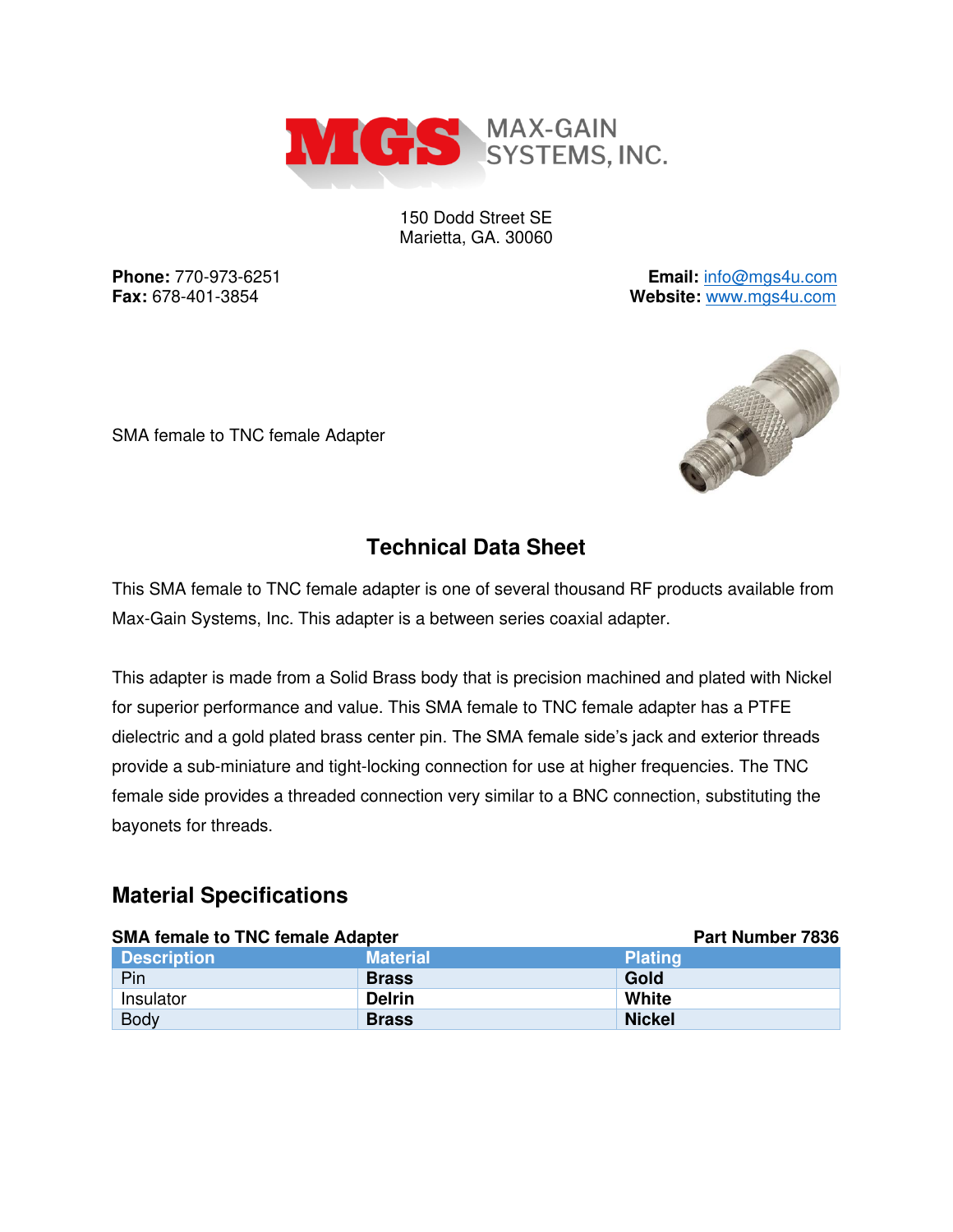

150 Dodd Street SE Marietta, GA. 30060

**Phone:** 770-973-6251 **Email:** [info@mgs4u.com](mailto:info@mgs4u.com) **Fax:** 678-401-3854 **Website:** [www.mgs4u.com](http://www.mgs4u.com/)

SMA female to TNC female Adapter



## **Technical Data Sheet**

This SMA female to TNC female adapter is one of several thousand RF products available from Max-Gain Systems, Inc. This adapter is a between series coaxial adapter.

This adapter is made from a Solid Brass body that is precision machined and plated with Nickel for superior performance and value. This SMA female to TNC female adapter has a PTFE dielectric and a gold plated brass center pin. The SMA female side's jack and exterior threads provide a sub-miniature and tight-locking connection for use at higher frequencies. The TNC female side provides a threaded connection very similar to a BNC connection, substituting the bayonets for threads.

#### **Material Specifications**

| <b>SMA female to TNC female Adapter</b> |                 | <b>Part Number 7836</b> |
|-----------------------------------------|-----------------|-------------------------|
| <b>Description</b>                      | <b>Material</b> | <b>Plating</b>          |
| Pin                                     | <b>Brass</b>    | Gold                    |
| Insulator                               | <b>Delrin</b>   | White                   |
| <b>Body</b>                             | <b>Brass</b>    | <b>Nickel</b>           |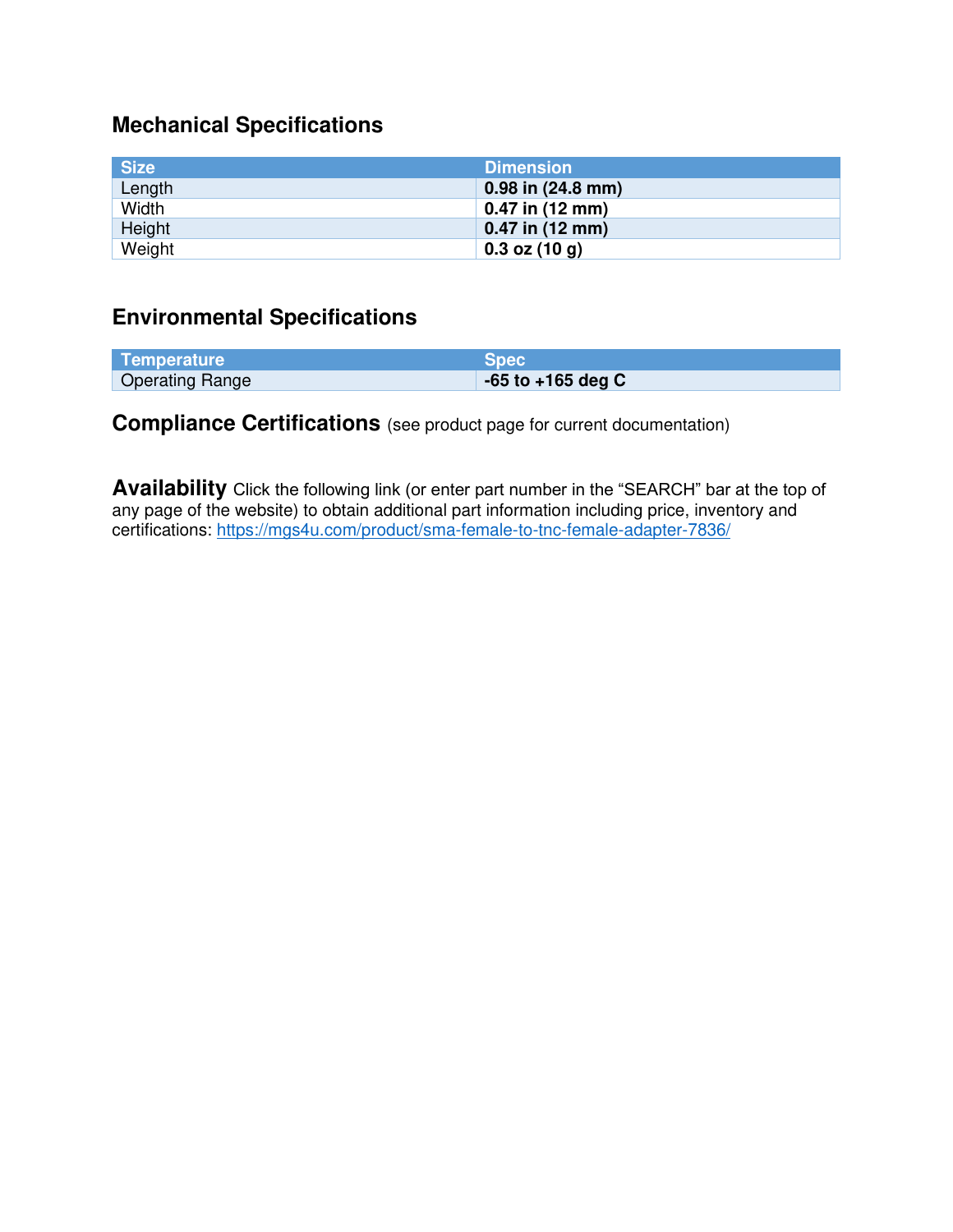# **Mechanical Specifications**

| <b>Size</b> | <b>Dimension</b>      |
|-------------|-----------------------|
| Length      | $0.98$ in $(24.8$ mm) |
| Width       | 0.47 in (12 mm)       |
| Height      | $0.47$ in (12 mm)     |
| Weight      | $0.3$ oz $(10 g)$     |

### **Environmental Specifications**

| Temperature            | <b>Spec</b>           |
|------------------------|-----------------------|
| <b>Operating Range</b> | $-65$ to $+165$ deg C |

### **Compliance Certifications** (see product page for current documentation)

**Availability** Click the following link (or enter part number in the "SEARCH" bar at the top of any page of the website) to obtain additional part information including price, inventory and certifications:<https://mgs4u.com/product/sma-female-to-tnc-female-adapter-7836/>